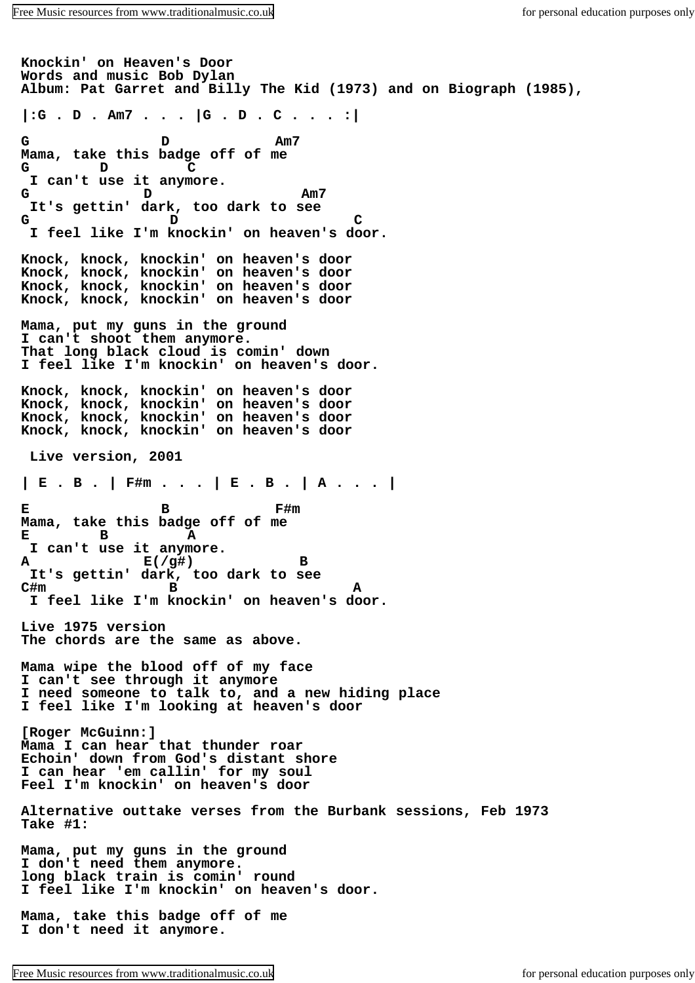**Knockin' on Heaven's Door Words and music Bob Dylan Album: Pat Garret and Billy The Kid (1973) and on Biograph (1985), |:G . D . Am7 . . . |G . D . C . . . :| G D Am7 Mama, take this badge off of me G D C I can't use it anymore. G D Am7 It's gettin' dark, too dark to see G D C I feel like I'm knockin' on heaven's door. Knock, knock, knockin' on heaven's door Knock, knock, knockin' on heaven's door Knock, knock, knockin' on heaven's door Knock, knock, knockin' on heaven's door Mama, put my guns in the ground I can't shoot them anymore. That long black cloud is comin' down I feel like I'm knockin' on heaven's door. Knock, knock, knockin' on heaven's door Knock, knock, knockin' on heaven's door Knock, knock, knockin' on heaven's door Knock, knock, knockin' on heaven's door Live version, 2001 | E . B . | F#m . . . | E . B . | A . . . | E B F#m Mama, take this badge off of me E B A I can't use it anymore. A E(/g#) B It's gettin' dark, too dark to see C#m B A I feel like I'm knockin' on heaven's door. Live 1975 version The chords are the same as above. Mama wipe the blood off of my face I can't see through it anymore I need someone to talk to, and a new hiding place I feel like I'm looking at heaven's door [Roger McGuinn:] Mama I can hear that thunder roar Echoin' down from God's distant shore I can hear 'em callin' for my soul Feel I'm knockin' on heaven's door Alternative outtake verses from the Burbank sessions, Feb 1973 Take #1: Mama, put my guns in the ground I don't need them anymore. long black train is comin' round I feel like I'm knockin' on heaven's door. Mama, take this badge off of me I don't need it anymore.**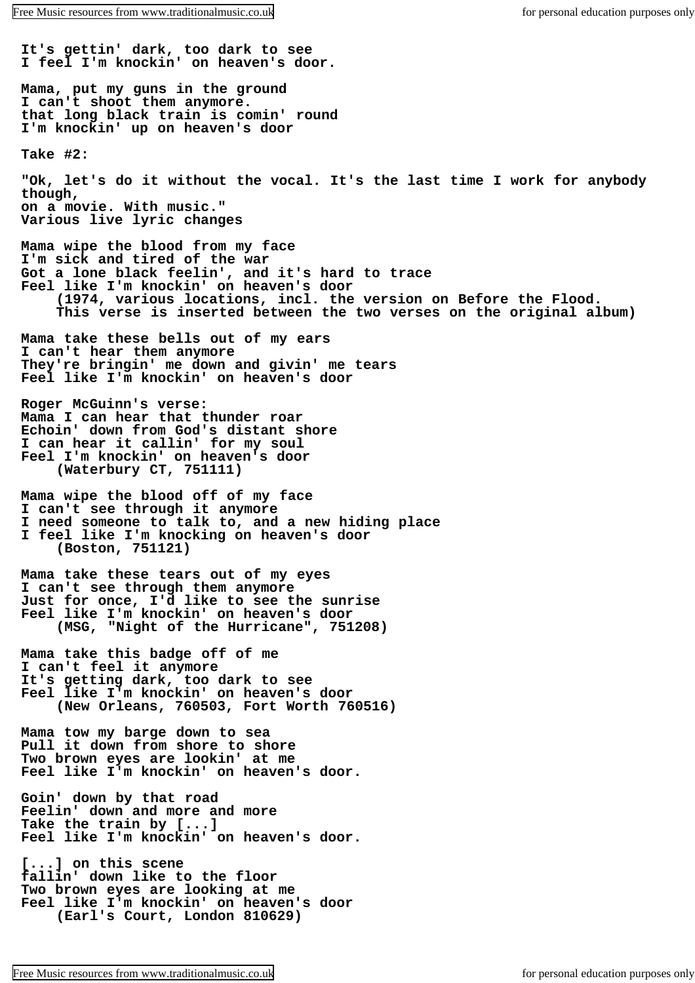**It's gettin' dark, too dark to see I feel I'm knockin' on heaven's door. Mama, put my guns in the ground I can't shoot them anymore. that long black train is comin' round I'm knockin' up on heaven's door Take #2: "Ok, let's do it without the vocal. It's the last time I work for anybody though, on a movie. With music." Various live lyric changes Mama wipe the blood from my face I'm sick and tired of the war Got a lone black feelin', and it's hard to trace Feel like I'm knockin' on heaven's door (1974, various locations, incl. the version on Before the Flood. This verse is inserted between the two verses on the original album) Mama take these bells out of my ears I can't hear them anymore They're bringin' me down and givin' me tears Feel like I'm knockin' on heaven's door Roger McGuinn's verse: Mama I can hear that thunder roar Echoin' down from God's distant shore I can hear it callin' for my soul Feel I'm knockin' on heaven's door (Waterbury CT, 751111) Mama wipe the blood off of my face I can't see through it anymore I need someone to talk to, and a new hiding place I feel like I'm knocking on heaven's door (Boston, 751121) Mama take these tears out of my eyes I can't see through them anymore Just for once, I'd like to see the sunrise Feel like I'm knockin' on heaven's door (MSG, "Night of the Hurricane", 751208) Mama take this badge off of me I can't feel it anymore It's getting dark, too dark to see Feel like I'm knockin' on heaven's door (New Orleans, 760503, Fort Worth 760516) Mama tow my barge down to sea Pull it down from shore to shore Two brown eyes are lookin' at me Feel like I'm knockin' on heaven's door. Goin' down by that road Feelin' down and more and more Take the train by [...] Feel like I'm knockin' on heaven's door. [...] on this scene fallin' down like to the floor Two brown eyes are looking at me Feel like I'm knockin' on heaven's door (Earl's Court, London 810629)**